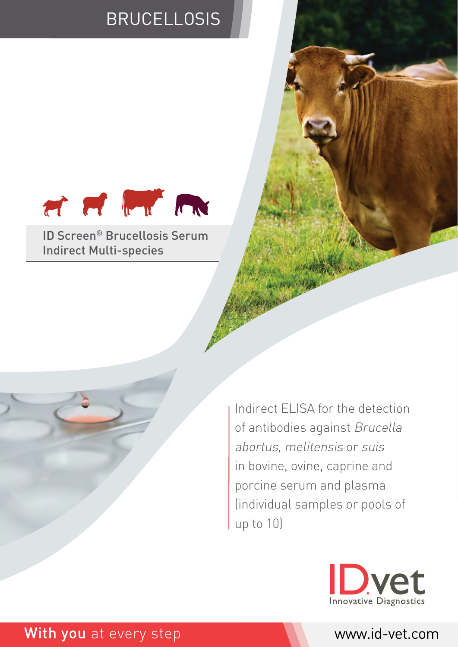# **BRUCELLOSIS**



ID Screen® Brucellosis Serum Indirect Multi-species

> Indirect ELISA for the detection of antibodies against Brucella abortus, melitensis or suis in bovine, ovine, caprine and porcine serum and plasma (individual samples or pools of up to 10)



### With you at every step www.id-vet.com